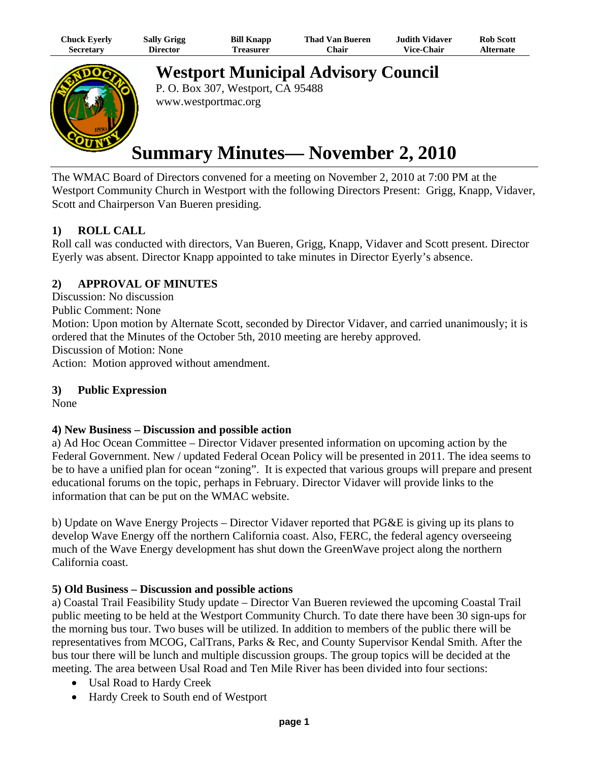| Chuck Eyerly | <b>Sally Grigg</b> | <b>Bill Knapp</b> | <b>Thad Van Bueren</b> | Judith Vidaver    | <b>Rob Scott</b> |
|--------------|--------------------|-------------------|------------------------|-------------------|------------------|
| Secretary    | Director           | Treasurer         | ′Chair                 | <b>Vice-Chair</b> | Alternate        |



**Westport Municipal Advisory Council** P. O. Box 307, Westport, CA 95488

www.westportmac.org

# **Summary Minutes— November 2, 2010**

The WMAC Board of Directors convened for a meeting on November 2, 2010 at 7:00 PM at the Westport Community Church in Westport with the following Directors Present: Grigg, Knapp, Vidaver, Scott and Chairperson Van Bueren presiding.

## **1) ROLL CALL**

Roll call was conducted with directors, Van Bueren, Grigg, Knapp, Vidaver and Scott present. Director Eyerly was absent. Director Knapp appointed to take minutes in Director Eyerly's absence.

## **2) APPROVAL OF MINUTES**

Discussion: No discussion Public Comment: None Motion: Upon motion by Alternate Scott, seconded by Director Vidaver, and carried unanimously; it is ordered that the Minutes of the October 5th, 2010 meeting are hereby approved. Discussion of Motion: None Action: Motion approved without amendment.

## **3) Public Expression**

None

## **4) New Business – Discussion and possible action**

a) Ad Hoc Ocean Committee – Director Vidaver presented information on upcoming action by the Federal Government. New / updated Federal Ocean Policy will be presented in 2011. The idea seems to be to have a unified plan for ocean "zoning". It is expected that various groups will prepare and present educational forums on the topic, perhaps in February. Director Vidaver will provide links to the information that can be put on the WMAC website.

b) Update on Wave Energy Projects – Director Vidaver reported that PG&E is giving up its plans to develop Wave Energy off the northern California coast. Also, FERC, the federal agency overseeing much of the Wave Energy development has shut down the GreenWave project along the northern California coast.

## **5) Old Business – Discussion and possible actions**

a) Coastal Trail Feasibility Study update – Director Van Bueren reviewed the upcoming Coastal Trail public meeting to be held at the Westport Community Church. To date there have been 30 sign-ups for the morning bus tour. Two buses will be utilized. In addition to members of the public there will be representatives from MCOG, CalTrans, Parks & Rec, and County Supervisor Kendal Smith. After the bus tour there will be lunch and multiple discussion groups. The group topics will be decided at the meeting. The area between Usal Road and Ten Mile River has been divided into four sections:

- Usal Road to Hardy Creek
- Hardy Creek to South end of Westport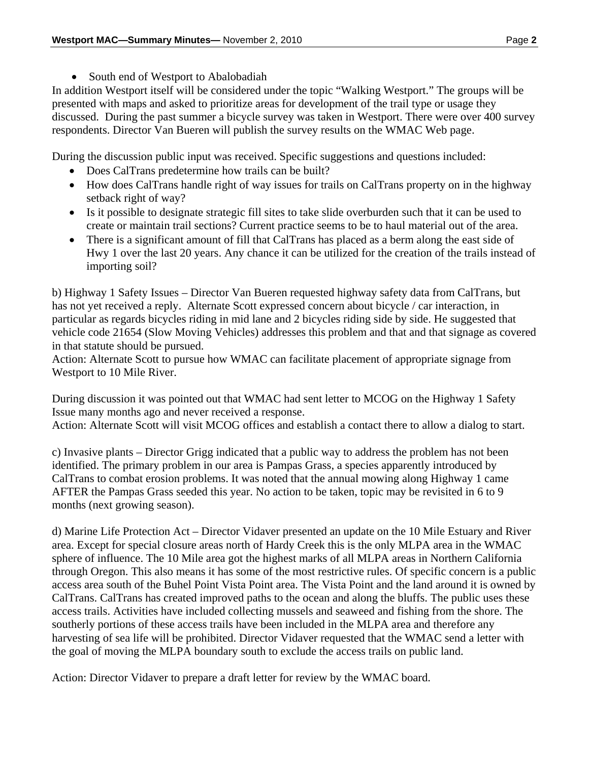• South end of Westport to Abalobadiah

In addition Westport itself will be considered under the topic "Walking Westport." The groups will be presented with maps and asked to prioritize areas for development of the trail type or usage they discussed. During the past summer a bicycle survey was taken in Westport. There were over 400 survey respondents. Director Van Bueren will publish the survey results on the WMAC Web page.

During the discussion public input was received. Specific suggestions and questions included:

- Does CalTrans predetermine how trails can be built?
- How does CalTrans handle right of way issues for trails on CalTrans property on in the highway setback right of way?
- Is it possible to designate strategic fill sites to take slide overburden such that it can be used to create or maintain trail sections? Current practice seems to be to haul material out of the area.
- There is a significant amount of fill that CalTrans has placed as a berm along the east side of Hwy 1 over the last 20 years. Any chance it can be utilized for the creation of the trails instead of importing soil?

b) Highway 1 Safety Issues – Director Van Bueren requested highway safety data from CalTrans, but has not yet received a reply. Alternate Scott expressed concern about bicycle / car interaction, in particular as regards bicycles riding in mid lane and 2 bicycles riding side by side. He suggested that vehicle code 21654 (Slow Moving Vehicles) addresses this problem and that and that signage as covered in that statute should be pursued.

Action: Alternate Scott to pursue how WMAC can facilitate placement of appropriate signage from Westport to 10 Mile River.

During discussion it was pointed out that WMAC had sent letter to MCOG on the Highway 1 Safety Issue many months ago and never received a response.

Action: Alternate Scott will visit MCOG offices and establish a contact there to allow a dialog to start.

c) Invasive plants – Director Grigg indicated that a public way to address the problem has not been identified. The primary problem in our area is Pampas Grass, a species apparently introduced by CalTrans to combat erosion problems. It was noted that the annual mowing along Highway 1 came AFTER the Pampas Grass seeded this year. No action to be taken, topic may be revisited in 6 to 9 months (next growing season).

d) Marine Life Protection Act – Director Vidaver presented an update on the 10 Mile Estuary and River area. Except for special closure areas north of Hardy Creek this is the only MLPA area in the WMAC sphere of influence. The 10 Mile area got the highest marks of all MLPA areas in Northern California through Oregon. This also means it has some of the most restrictive rules. Of specific concern is a public access area south of the Buhel Point Vista Point area. The Vista Point and the land around it is owned by CalTrans. CalTrans has created improved paths to the ocean and along the bluffs. The public uses these access trails. Activities have included collecting mussels and seaweed and fishing from the shore. The southerly portions of these access trails have been included in the MLPA area and therefore any harvesting of sea life will be prohibited. Director Vidaver requested that the WMAC send a letter with the goal of moving the MLPA boundary south to exclude the access trails on public land.

Action: Director Vidaver to prepare a draft letter for review by the WMAC board.